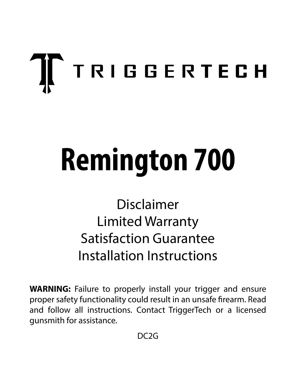# $\prod$  TRIGGERTECH

## **Remington 700**

## Disclaimer Limited Warranty Satisfaction Guarantee Installation Instructions

**WARNING:** Failure to properly install your trigger and ensure proper safety functionality could result in an unsafe firearm. Read and follow all instructions. Contact TriggerTech or a licensed gunsmith for assistance.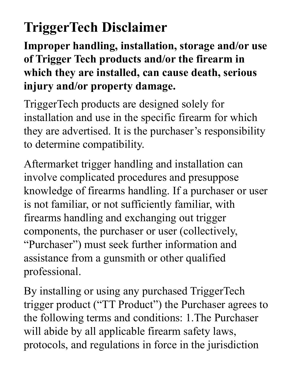## **TriggerTech Disclaimer**

**Improper handling, installation, storage and/or use of Trigger Tech products and/or the firearm in which they are installed, can cause death, serious injury and/or property damage.**

TriggerTech products are designed solely for installation and use in the specific firearm for which they are advertised. It is the purchaser's responsibility to determine compatibility.

Aftermarket trigger handling and installation can involve complicated procedures and presuppose knowledge of firearms handling. If a purchaser or user is not familiar, or not sufficiently familiar, with firearms handling and exchanging out trigger components, the purchaser or user (collectively, "Purchaser") must seek further information and assistance from a gunsmith or other qualified professional.

By installing or using any purchased TriggerTech trigger product ("TT Product") the Purchaser agrees to the following terms and conditions: 1.The Purchaser will abide by all applicable firearm safety laws, protocols, and regulations in force in the jurisdiction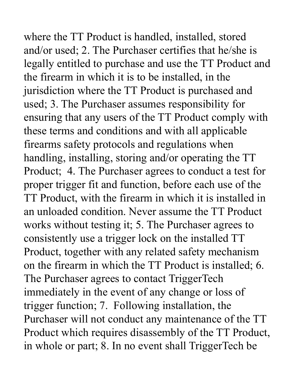where the TT Product is handled, installed, stored and/or used; 2. The Purchaser certifies that he/she is legally entitled to purchase and use the TT Product and the firearm in which it is to be installed, in the jurisdiction where the TT Product is purchased and used; 3. The Purchaser assumes responsibility for ensuring that any users of the TT Product comply with these terms and conditions and with all applicable firearms safety protocols and regulations when handling, installing, storing and/or operating the TT Product; 4. The Purchaser agrees to conduct a test for proper trigger fit and function, before each use of the TT Product, with the firearm in which it is installed in an unloaded condition. Never assume the TT Product works without testing it; 5. The Purchaser agrees to consistently use a trigger lock on the installed TT Product, together with any related safety mechanism on the firearm in which the TT Product is installed; 6. The Purchaser agrees to contact TriggerTech immediately in the event of any change or loss of trigger function; 7. Following installation, the Purchaser will not conduct any maintenance of the TT Product which requires disassembly of the TT Product, in whole or part; 8. In no event shall TriggerTech be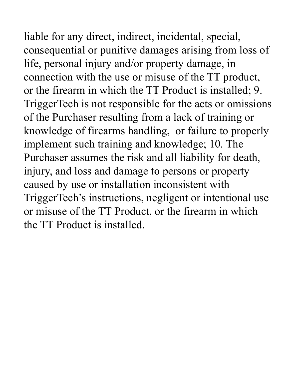liable for any direct, indirect, incidental, special, consequential or punitive damages arising from loss of life, personal injury and/or property damage, in connection with the use or misuse of the TT product, or the firearm in which the TT Product is installed; 9. TriggerTech is not responsible for the acts or omissions of the Purchaser resulting from a lack of training or knowledge of firearms handling, or failure to properly implement such training and knowledge; 10. The Purchaser assumes the risk and all liability for death, injury, and loss and damage to persons or property caused by use or installation inconsistent with TriggerTech's instructions, negligent or intentional use or misuse of the TT Product, or the firearm in which the TT Product is installed.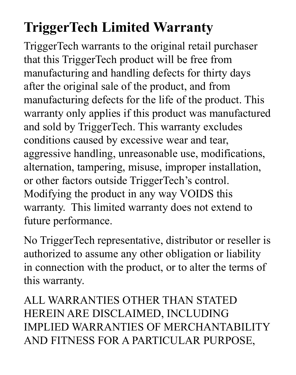## **TriggerTech Limited Warranty**

TriggerTech warrants to the original retail purchaser that this TriggerTech product will be free from manufacturing and handling defects for thirty days after the original sale of the product, and from manufacturing defects for the life of the product. This warranty only applies if this product was manufactured and sold by TriggerTech. This warranty excludes conditions caused by excessive wear and tear, aggressive handling, unreasonable use, modifications, alternation, tampering, misuse, improper installation, or other factors outside TriggerTech's control. Modifying the product in any way VOIDS this warranty. This limited warranty does not extend to future performance.

No TriggerTech representative, distributor or reseller is authorized to assume any other obligation or liability in connection with the product, or to alter the terms of this warranty.

ALL WARRANTIES OTHER THAN STATED HEREIN ARE DISCLAIMED, INCLUDING IMPLIED WARRANTIES OF MERCHANTABILITY AND FITNESS FOR A PARTICULAR PURPOSE,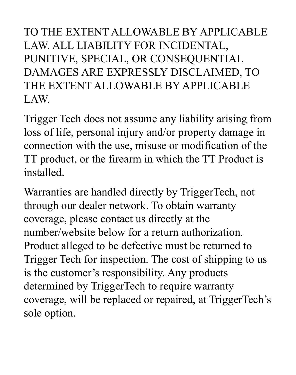TO THE EXTENT ALLOWABLE BY APPLICABLE LAW. ALL LIABILITY FOR INCIDENTAL, PUNITIVE, SPECIAL, OR CONSEQUENTIAL DAMAGES ARE EXPRESSLY DISCLAIMED, TO THE EXTENT ALLOWABLE BY APPLICABLE LAW.

Trigger Tech does not assume any liability arising from loss of life, personal injury and/or property damage in connection with the use, misuse or modification of the TT product, or the firearm in which the TT Product is installed.

Warranties are handled directly by TriggerTech, not through our dealer network. To obtain warranty coverage, please contact us directly at the number/website below for a return authorization. Product alleged to be defective must be returned to Trigger Tech for inspection. The cost of shipping to us is the customer's responsibility. Any products determined by TriggerTech to require warranty coverage, will be replaced or repaired, at TriggerTech's sole option.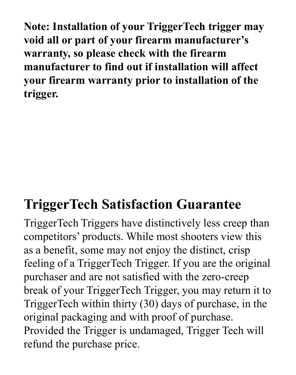**Note: Installation of your TriggerTech trigger may void all or part of your firearm manufacturer's warranty, so please check with the firearm manufacturer to find out if installation will affect your firearm warranty prior to installation of the trigger.**

### **TriggerTech Satisfaction Guarantee**

TriggerTech Triggers have distinctively less creep than competitors' products. While most shooters view this as a benefit, some may not enjoy the distinct, crisp feeling of a TriggerTech Trigger. If you are the original purchaser and are not satisfied with the zero-creep break of your TriggerTech Trigger, you may return it to TriggerTech within thirty (30) days of purchase, in the original packaging and with proof of purchase. Provided the Trigger is undamaged, Trigger Tech will refund the purchase price.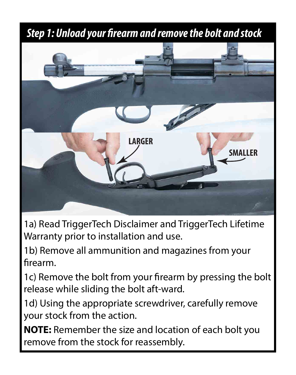#### **Step 1: Unload your firearm and remove the bolt and stock**



1a) Read TriggerTech Disclaimer and TriggerTech Lifetime Warranty prior to installation and use.

1b) Remove all ammunition and magazines from your firearm

1c) Remove the bolt from your firearm by pressing the bolt release while sliding the bolt aft-ward.

1d) Using the appropriate screwdriver, carefully remove your stock from the action.

**NOTE:** Remember the size and location of each bolt you remove from the stock for reassembly.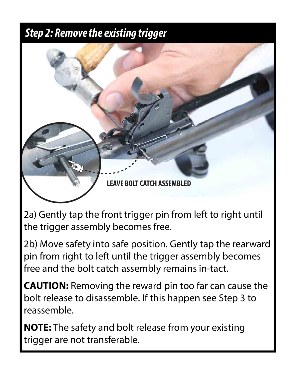#### *Step 2: Remove the existing trigger*



2a) Gently tap the front trigger pin from left to right until the trigger assembly becomes free.

2b) Move safety into safe position. Gently tap the rearward pin from right to left until the trigger assembly becomes free and the bolt catch assembly remains in-tact.

**CAUTION:** Removing the reward pin too far can cause the bolt release to disassemble. If this happen see Step 3 to reassemble.

**NOTE:** The safety and bolt release from your existing trigger are not transferable.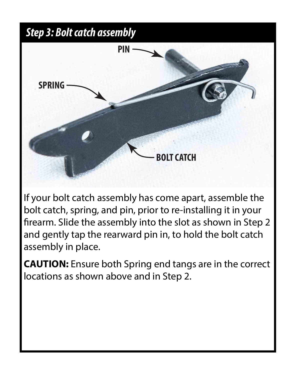#### *Step 3: Bolt catch assembly*



If your bolt catch assembly has come apart, assemble the bolt catch, spring, and pin, prior to re-installing it in your firearm. Slide the assembly into the slot as shown in Step 2 and gently tap the rearward pin in, to hold the bolt catch assembly in place.

**CAUTION:** Ensure both Spring end tangs are in the correct locations as shown above and in Step 2.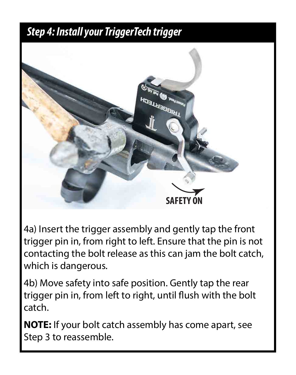#### *Step 4: Install your TriggerTech trigger*



4a) Insert the trigger assembly and gently tap the front trigger pin in, from right to left. Ensure that the pin is not contacting the bolt release as this can jam the bolt catch, which is dangerous.

4b) Move safety into safe position. Gently tap the rear trigger pin in, from left to right, until flush with the bolt catch.

**NOTE:** If your bolt catch assembly has come apart, see Step 3 to reassemble.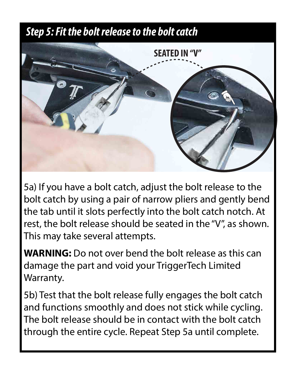#### *Step 5: Fit the bolt release to the bolt catch*



5a) If you have a bolt catch, adjust the bolt release to the bolt catch by using a pair of narrow pliers and gently bend the tab until it slots perfectly into the bolt catch notch. At rest, the bolt release should be seated in the "V", as shown. This may take several attempts.

**WARNING:** Do not over bend the bolt release as this can damage the part and void your TriggerTech Limited Warranty.

5b) Test that the bolt release fully engages the bolt catch and functions smoothly and does not stick while cycling. The bolt release should be in contact with the bolt catch through the entire cycle. Repeat Step 5a until complete.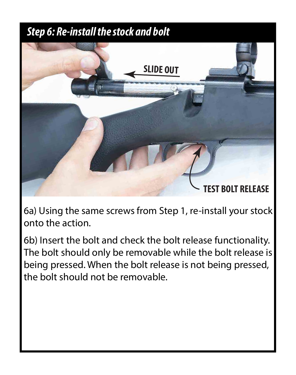#### *Step 6: Re-install the stock and bolt*



6a) Using the same screws from Step 1, re-install your stock onto the action.

6b) Insert the bolt and check the bolt release functionality. The bolt should only be removable while the bolt release is being pressed. When the bolt release is not being pressed, the bolt should not be removable.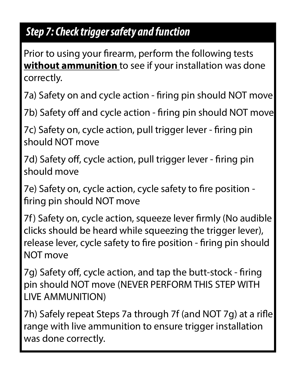#### *Step 7: Check trigger safety and function*

Prior to using your firearm, perform the following tests **without ammunition** to see if your installation was done correctly.

7a) Safety on and cycle action - firing pin should NOT move

7b) Safety off and cycle action - firing pin should NOT move

7c) Safety on, cycle action, pull trigger lever - firing pin should NOT move

7d) Safety off, cycle action, pull trigger lever - firing pin should move

7e) Safety on, cycle action, cycle safety to fire position firing pin should NOT move

7f) Safety on, cycle action, squeeze lever firmly (No audible clicks should be heard while squeezing the trigger lever), release lever, cycle safety to fire position - firing pin should NOT move

7g) Safety off, cycle action, and tap the butt-stock - firing pin should NOT move (NEVER PERFORM THIS STEP WITH LIVE AMMUNITION)

7h) Safely repeat Steps 7a through 7f (and NOT 7g) at a rifle range with live ammunition to ensure trigger installation was done correctly.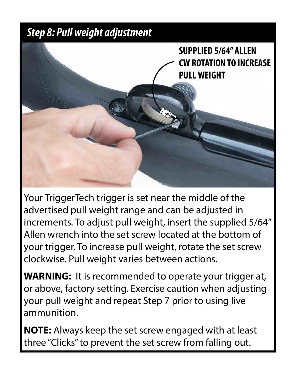#### *Step 8: Pull weight adjustment*

**SUPPLIED 5/64" ALLEN CW ROTATION TO INCREASE PULL WEIGHT**

Your TriggerTech trigger is set near the middle of the advertised pull weight range and can be adjusted in increments. To adjust pull weight, insert the supplied 5/64" Allen wrench into the set screw located at the bottom of your trigger. To increase pull weight, rotate the set screw clockwise. Pull weight varies between actions.

**WARNING:** It is recommended to operate your trigger at, or above, factory setting. Exercise caution when adjusting your pull weight and repeat Step 7 prior to using live ammunition.

**NOTE:** Always keep the set screw engaged with at least three "Clicks" to prevent the set screw from falling out.